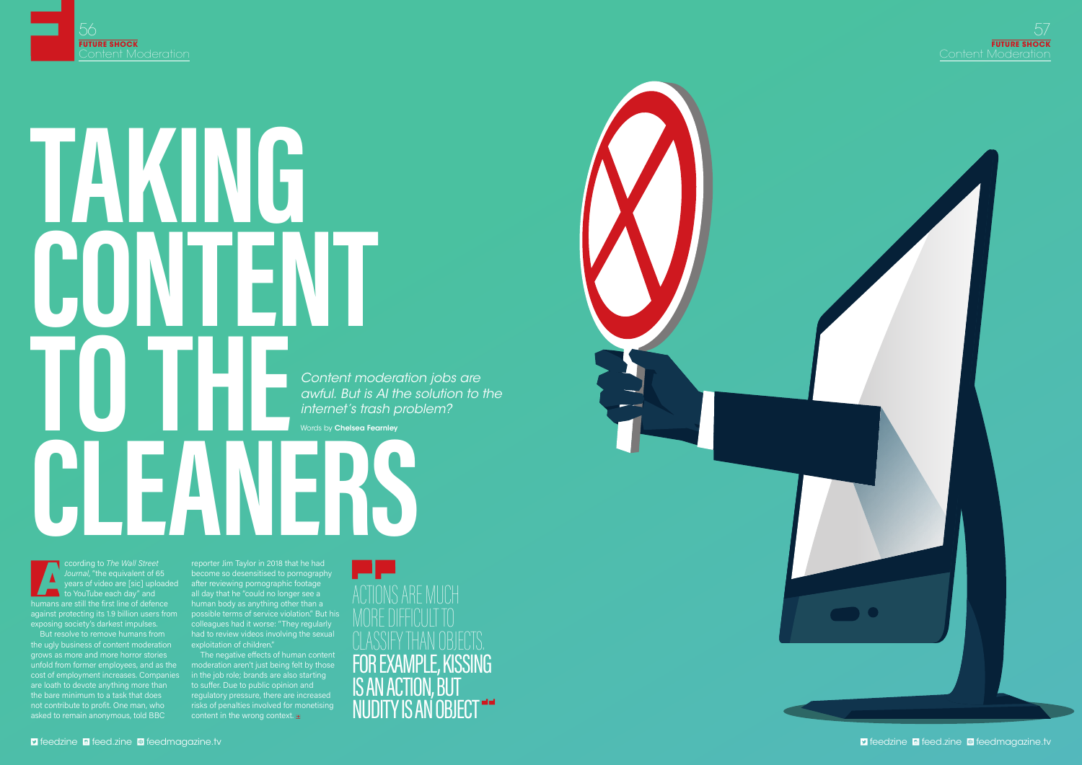

# **TA CONTENT TO THE !!** Words by Chelsea Fearnley<br> **Continue to The Wall Street** (Fig. Taylor in 2018 that he had *Content moderation jobs are awful. But is AI the solution to the internet's trash problem?*  Words by **Chelsea Fearnley**

ccording to *The Wall Street Journal*, "the equivalent of 65 to YouTube each day" and humans are still the first line of defence against protecting its 1.9 billion users from possible terms of service violation." But his exposing society's darkest impulses.

But resolve to remove humans from the ugly business of content moderation exploitation of children." grows as more and more horror stories unfold from former employees, and as the moderation aren't just being felt by those cost of employment increases. Companies in the job role; brands are also starting are loath to devote anything more than to suffer. Due to public opinion and the bare minimum to a task that does not contribute to profit. One man, who asked to remain anonymous, told BBC

years of video are [sic] uploaded after reviewing pornographic footage reporter Jim Taylor in 2018 that he had become so desensitised to pornography all day that he "could no longer see a human body as anything other than a colleagues had it worse: "They regularly had to review videos involving the sexual

The negative effects of human content regulatory pressure, there are increased risks of penalties involved for monetising content in the wrong context.  $\blacksquare$ 

ACTIONS ARE MUCH MORE DIFFICULT TO CLASSIFY THAN OBJECTS. FOR EXAMPLE, KISSING IS AN ACTION, BUT NUDITY IS AN OBJECT